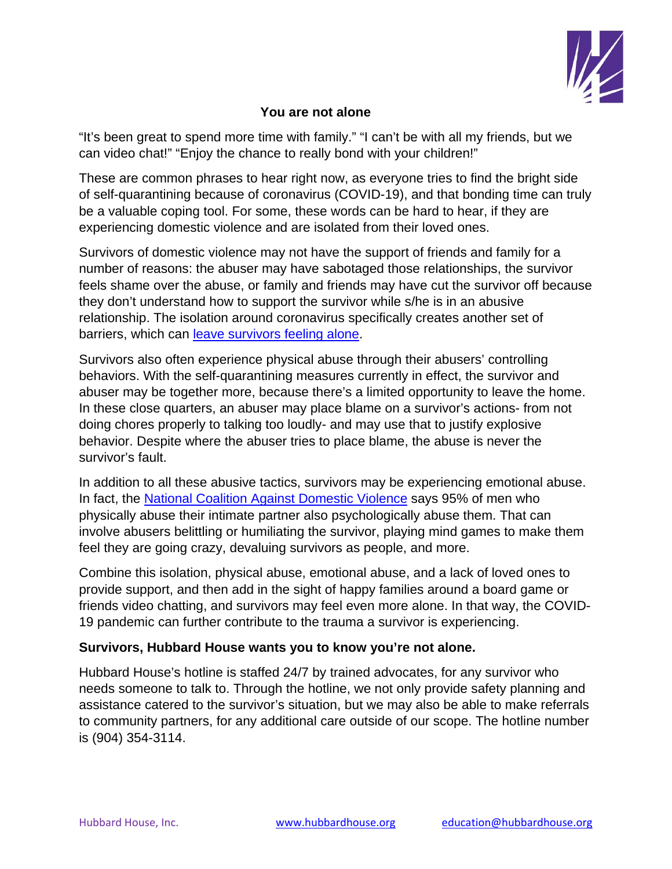

## **You are not alone**

"It's been great to spend more time with family." "I can't be with all my friends, but we can video chat!" "Enjoy the chance to really bond with your children!"

These are common phrases to hear right now, as everyone tries to find the bright side of self-quarantining because of coronavirus (COVID-19), and that bonding time can truly be a valuable coping tool. For some, these words can be hard to hear, if they are experiencing domestic violence and are isolated from their loved ones.

Survivors of domestic violence may not have the support of friends and family for a number of reasons: the abuser may have sabotaged those relationships, the survivor feels shame over the abuse, or family and friends may have cut the survivor off because they don't understand how to support the survivor while s/he is in an abusive relationship. The isolation around coronavirus specifically creates another set of barriers, which can leave survivors feeling alone.

Survivors also often experience physical abuse through their abusers' controlling behaviors. With the self-quarantining measures currently in effect, the survivor and abuser may be together more, because there's a limited opportunity to leave the home. In these close quarters, an abuser may place blame on a survivor's actions- from not doing chores properly to talking too loudly- and may use that to justify explosive behavior. Despite where the abuser tries to place blame, the abuse is never the survivor's fault.

In addition to all these abusive tactics, survivors may be experiencing emotional abuse. In fact, the National Coalition Against Domestic Violence says 95% of men who physically abuse their intimate partner also psychologically abuse them. That can involve abusers belittling or humiliating the survivor, playing mind games to make them feel they are going crazy, devaluing survivors as people, and more.

Combine this isolation, physical abuse, emotional abuse, and a lack of loved ones to provide support, and then add in the sight of happy families around a board game or friends video chatting, and survivors may feel even more alone. In that way, the COVID-19 pandemic can further contribute to the trauma a survivor is experiencing.

## **Survivors, Hubbard House wants you to know you're not alone.**

Hubbard House's hotline is staffed 24/7 by trained advocates, for any survivor who needs someone to talk to. Through the hotline, we not only provide safety planning and assistance catered to the survivor's situation, but we may also be able to make referrals to community partners, for any additional care outside of our scope. The hotline number is (904) 354-3114.